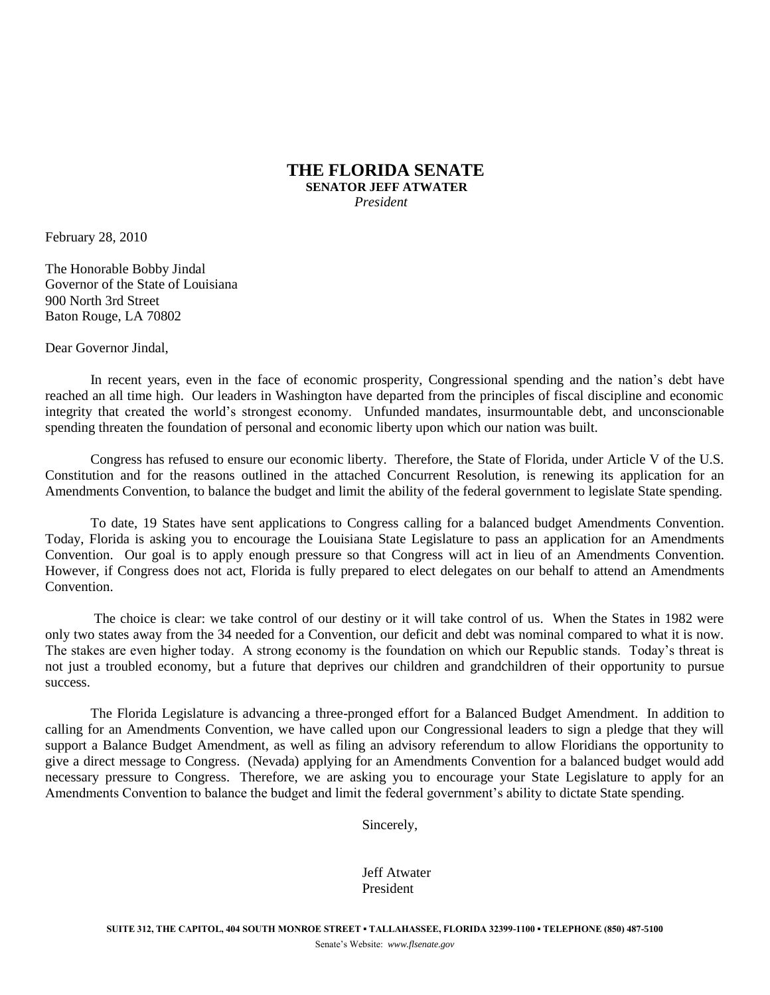## **THE FLORIDA SENATE SENATOR JEFF ATWATER**  *President*

February 28, 2010

The Honorable Bobby Jindal Governor of the State of Louisiana 900 North 3rd Street Baton Rouge, LA 70802

Dear Governor Jindal,

In recent years, even in the face of economic prosperity, Congressional spending and the nation's debt have reached an all time high. Our leaders in Washington have departed from the principles of fiscal discipline and economic integrity that created the world's strongest economy. Unfunded mandates, insurmountable debt, and unconscionable spending threaten the foundation of personal and economic liberty upon which our nation was built.

Congress has refused to ensure our economic liberty. Therefore, the State of Florida, under Article V of the U.S. Constitution and for the reasons outlined in the attached Concurrent Resolution, is renewing its application for an Amendments Convention, to balance the budget and limit the ability of the federal government to legislate State spending.

To date, 19 States have sent applications to Congress calling for a balanced budget Amendments Convention. Today, Florida is asking you to encourage the Louisiana State Legislature to pass an application for an Amendments Convention. Our goal is to apply enough pressure so that Congress will act in lieu of an Amendments Convention. However, if Congress does not act, Florida is fully prepared to elect delegates on our behalf to attend an Amendments Convention.

The choice is clear: we take control of our destiny or it will take control of us. When the States in 1982 were only two states away from the 34 needed for a Convention, our deficit and debt was nominal compared to what it is now. The stakes are even higher today. A strong economy is the foundation on which our Republic stands. Today's threat is not just a troubled economy, but a future that deprives our children and grandchildren of their opportunity to pursue success.

The Florida Legislature is advancing a three-pronged effort for a Balanced Budget Amendment. In addition to calling for an Amendments Convention, we have called upon our Congressional leaders to sign a pledge that they will support a Balance Budget Amendment, as well as filing an advisory referendum to allow Floridians the opportunity to give a direct message to Congress. (Nevada) applying for an Amendments Convention for a balanced budget would add necessary pressure to Congress. Therefore, we are asking you to encourage your State Legislature to apply for an Amendments Convention to balance the budget and limit the federal government's ability to dictate State spending.

Sincerely,

Jeff Atwater President